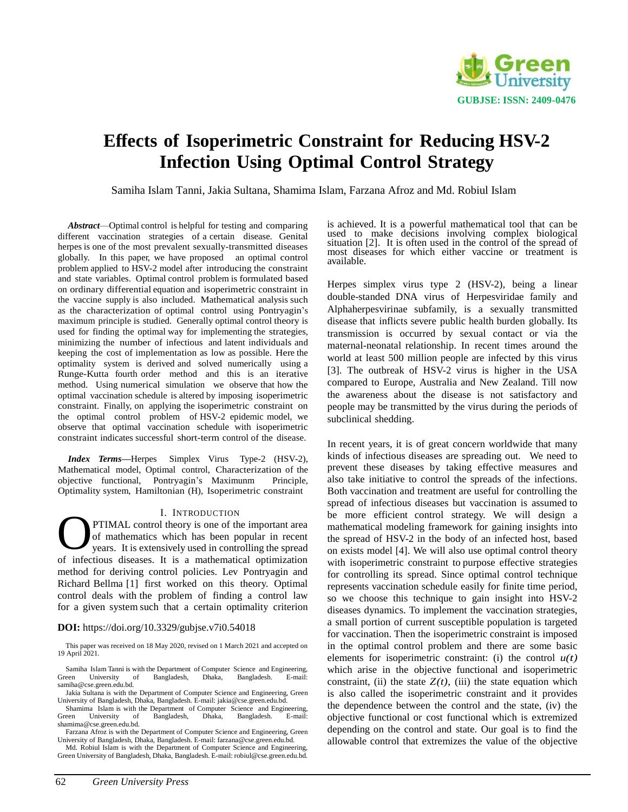

# **Effects of Isoperimetric Constraint for Reducing HSV-2 Infection Using Optimal Control Strategy**

Samiha Islam Tanni, Jakia Sultana, Shamima Islam, Farzana Afroz and Md. Robiul Islam

*Abstract*—Optimal control is helpful for testing and comparing different vaccination strategies of a certain disease. Genital herpes is one of the most prevalent sexually-transmitted diseases globally. In this paper, we have proposed an optimal control problem applied to HSV-2 model after introducing the constraint and state variables. Optimal control problem is formulated based on ordinary differential equation and isoperimetric constraint in the vaccine supply is also included. Mathematical analysis such as the characterization of optimal control using Pontryagin's maximum principle is studied. Generally optimal control theory is used for finding the optimal way for implementing the strategies, minimizing the number of infectious and latent individuals and keeping the cost of implementation as low as possible. Here the optimality system is derived and solved numerically using a Runge-Kutta fourth order method and this is an iterative method. Using numerical simulation we observe that how the optimal vaccination schedule is altered by imposing isoperimetric constraint. Finally, on applying the isoperimetric constraint on the optimal control problem of HSV-2 epidemic model, we observe that optimal vaccination schedule with isoperimetric constraint indicates successful short-term control of the disease.

*Index Terms—*Herpes Simplex Virus Type-2 (HSV-2), Mathematical model, Optimal control, Characterization of the objective functional, Pontryagin's Maximunm Principle, Optimality system, Hamiltonian (H), Isoperimetric constraint

## I. INTRODUCTION

PTIMAL control theory is one of the important area of mathematics which has been popular in recent years. It is extensively used in controlling the spread of infectious diseases. It is a mathematical optimization method for deriving control policies. Lev Pontryagin and Richard Bellma [1] first worked on this theory. Optimal control deals with the problem of finding a control law for a given system such that a certain optimality criterion O

## **DOI:** https://doi.org/10.3329/gubjse.v7i0.54018

This paper was received on 18 May 2020, revised on 1 March 2021 and accepted on 19 April 2021.

Md. Robiul Islam is with the Department of Computer Science and Engineering, Green University of Bangladesh, Dhaka, Bangladesh. E-mail: [robiul@cse.green.edu.bd.](mailto:robiul@cse.green.edu.bd) is achieved. It is a powerful mathematical tool that can be used to make decisions involving complex biological situation [2]. It is often used in the control of the spread of most diseases for which either vaccine or treatment is available.

Herpes simplex virus type 2 (HSV-2), being a linear double-standed DNA virus of Herpesviridae family and Alphaherpesvirinae subfamily, is a sexually transmitted disease that inflicts severe public health burden globally. Its transmission is occurred by sexual contact or via the maternal-neonatal relationship. In recent times around the world at least 500 million people are infected by this virus [3]. The outbreak of HSV-2 virus is higher in the USA compared to Europe, Australia and New Zealand. Till now the awareness about the disease is not satisfactory and people may be transmitted by the virus during the periods of subclinical shedding.

In recent years, it is of great concern worldwide that many kinds of infectious diseases are spreading out. We need to prevent these diseases by taking effective measures and also take initiative to control the spreads of the infections. Both vaccination and treatment are useful for controlling the spread of infectious diseases but vaccination is assumed to be more efficient control strategy. We will design a mathematical modeling framework for gaining insights into the spread of HSV-2 in the body of an infected host, based on exists model [4]. We will also use optimal control theory with isoperimetric constraint to purpose effective strategies for controlling its spread. Since optimal control technique represents vaccination schedule easily for finite time period, so we choose this technique to gain insight into HSV-2 diseases dynamics. To implement the vaccination strategies, a small portion of current susceptible population is targeted for vaccination. Then the isoperimetric constraint is imposed in the optimal control problem and there are some basic elements for isoperimetric constraint: (i) the control  $u(t)$ which arise in the objective functional and isoperimetric constraint, (ii) the state  $Z(t)$ , (iii) the state equation which is also called the isoperimetric constraint and it provides the dependence between the control and the state, (iv) the objective functional or cost functional which is extremized depending on the control and state. Our goal is to find the allowable control that extremizes the value of the objective

Samiha Islam Tanni is with the Department of Computer Science and Engineering, Green University of Bangladesh, Dhaka, Bangladesh. E-mail: University of Bangladesh, Dhaka, Bangladesh. E-mai[l:](mailto:samiha@cse.green.edu.bd) [samiha@cse.green.edu.bd.](mailto:samiha@cse.green.edu.bd)

Jakia Sultana is with the Department of Computer Science and Engineering, Green University of Bangladesh, Dhaka, Bangladesh. E-mail: [jakia@cse.green.edu.bd.](mailto:jakia@cse.green.edu.bd)

Shamima Islam is with the Department of Computer Science and Engineering, Green University of Bangladesh, Dhaka, Bangladesh. E-mai[l:](mailto:shamima@cse.green.edu.bd) [shamima@cse.green.edu.bd.](mailto:shamima@cse.green.edu.bd)

Farzana Afroz is with the Department of Computer Science and Engineering, Green University of Bangladesh, Dhaka, Bangladesh. E-mail: [farzana@cse.green.edu.bd.](mailto:farzana@cse.green.edu.bd)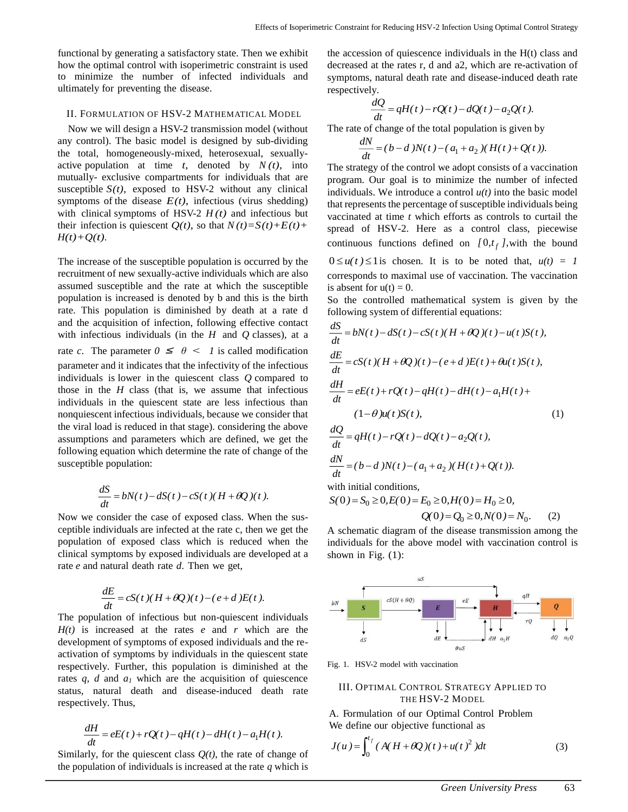functional by generating a satisfactory state. Then we exhibit how the optimal control with isoperimetric constraint is used to minimize the number of infected individuals and ultimately for preventing the disease.

# II. FORMULATION OF HSV-2 MATHEMATICAL MODEL

Now we will design a HSV-2 transmission model (without any control). The basic model is designed by sub-dividing the total, homogeneously-mixed, heterosexual, sexuallyactive population at time  $t$ , denoted by  $N(t)$ , into mutually- exclusive compartments for individuals that are susceptible  $S(t)$ , exposed to HSV-2 without any clinical symptoms of the disease  $E(t)$ , infectious (virus shedding) with clinical symptoms of HSV-2  $H(t)$  and infectious but their infection is quiescent  $Q(t)$ , so that  $N(t)=S(t)+E(t)+T(t)$  $H(t)+Q(t)$ .

The increase of the susceptible population is occurred by the recruitment of new sexually-active individuals which are also assumed susceptible and the rate at which the susceptible population is increased is denoted by b and this is the birth rate. This population is diminished by death at a rate d and the acquisition of infection, following effective contact with infectious individuals (in the *H* and *Q* classes), at a rate *c*. The parameter  $0 \le \theta < 1$  is called modification parameter and it indicates that the infectivity of the infectious individuals is lower in the quiescent class *Q* compared to those in the *H* class (that is, we assume that infectious individuals in the quiescent state are less infectious than nonquiescent infectious individuals, because we consider that the viral load is reduced in that stage). considering the above assumptions and parameters which are defined, we get the following equation which determine the rate of change of the susceptible population:

$$
\frac{dS}{dt} = bN(t) - dS(t) - cS(t)(H + \theta Q)(t).
$$

Now we consider the case of exposed class. When the susceptible individuals are infected at the rate c, then we get the population of exposed class which is reduced when the clinical symptoms by exposed individuals are developed at a rate *e* and natural death rate *d*. Then we get,

$$
\frac{dE}{dt} = cS(t)(H + \theta Q)(t) - (e + d)E(t).
$$

The population of infectious but non-quiescent individuals *H(t)* is increased at the rates *e* and *r* which are the development of symptoms of exposed individuals and the reactivation of symptoms by individuals in the quiescent state respectively. Further, this population is diminished at the rates *q, d* and *a<sub>1</sub>* which are the acquisition of quiescence status, natural death and disease-induced death rate respectively. Thus,

$$
\frac{dH}{dt} = eE(t) + rQ(t) - qH(t) - dH(t) - a_1H(t).
$$

Similarly, for the quiescent class  $Q(t)$ , the rate of change of the population of individuals is increased at the rate *q* which is

the accession of quiescence individuals in the H(t) class and decreased at the rates r, d and a2, which are re-activation of symptoms, natural death rate and disease-induced death rate respectively.

$$
\frac{dQ}{dt} = qH(t) - rQ(t) - dQ(t) - a_2Q(t).
$$

The rate of change of the total population is given by

$$
\frac{dN}{dt} = (b - d)N(t) - (a_1 + a_2)(H(t) + Q(t)).
$$

The strategy of the control we adopt consists of a vaccination program. Our goal is to minimize the number of infected individuals. We introduce a control *u(t)* into the basic model that represents the percentage of susceptible individuals being vaccinated at time *t* which efforts as controls to curtail the spread of HSV-2. Here as a control class, piecewise continuous functions defined on  $[0, t_f]$ , with the bound  $0 \le u(t) \le 1$  is chosen. It is to be noted that,  $u(t) = 1$ corresponds to maximal use of vaccination. The vaccination is absent for  $u(t) = 0$ .

So the controlled mathematical system is given by the following system of differential equations:

$$
\frac{dS}{dt} = bN(t) - dS(t) - cS(t)(H + \theta Q)(t) - u(t)S(t),
$$
\n
$$
\frac{dE}{dt} = cS(t)(H + \theta Q)(t) - (e + d)E(t) + \theta u(t)S(t),
$$
\n
$$
\frac{dH}{dt} = eE(t) + rQ(t) - qH(t) - dH(t) - a_1H(t) + (1 - \theta)u(t)S(t),
$$
\n
$$
\frac{dQ}{dt} = aH(t) - rQ(t) - dQ(t) - a_2Q(t)
$$
\n(1)

$$
\frac{dQ}{dt} = qH(t) - rQ(t) - dQ(t) - a_2Q(t),
$$
\n
$$
\frac{dN}{dt} = (b - d)N(t) - (a_1 + a_2)(H(t) + Q(t)).
$$

with initial conditions,

$$
S(0) = S_0 \ge 0, E(0) = E_0 \ge 0, H(0) = H_0 \ge 0,
$$
  
 
$$
Q(0) = Q_0 \ge 0, N(0) = N_0.
$$
 (2)

A schematic diagram of the disease transmission among the individuals for the above model with vaccination control is shown in Fig.  $(1)$ :



Fig. 1. HSV-2 model with vaccination

## III. OPTIMAL CONTROL STRATEGY APPLIED TO THE HSV-2 MODEL

A. Formulation of our Optimal Control Problem We define our objective functional as

$$
J(u) = \int_0^{t_f} (A(H + \theta Q)(t) + u(t)^2) dt
$$
 (3)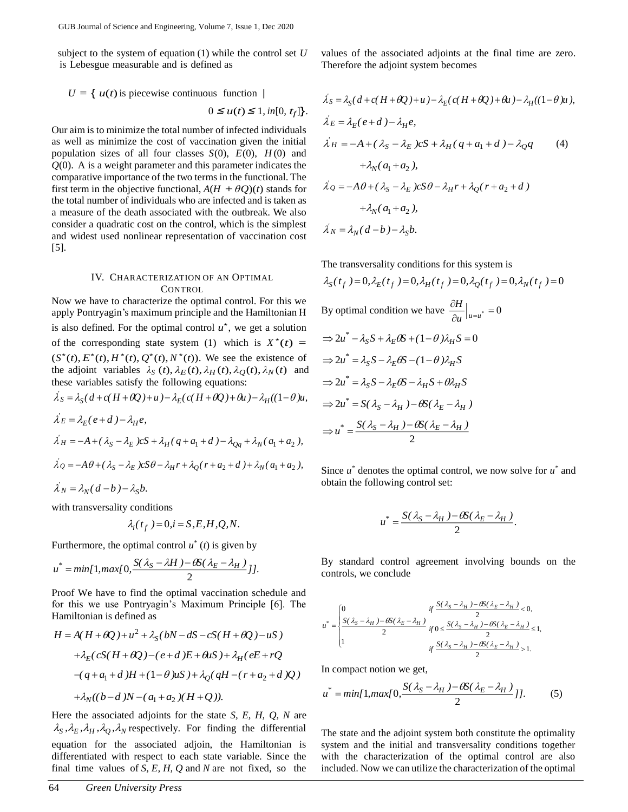subject to the system of equation (1) while the control set *U* is Lebesgue measurable and is defined as

$$
U = \{ u(t) \text{ is piecewise continuous function } |
$$
  

$$
0 \le u(t) \le 1, in[0, t_f] \}.
$$

Our aim is to minimize the total number of infected individuals as well as minimize the cost of vaccination given the initial population sizes of all four classes  $S(0)$ ,  $E(0)$ ,  $H(0)$  and *Q*(0). A is a weight parameter and this parameter indicates the comparative importance of the two terms in the functional. The first term in the objective functional,  $A(H + \theta Q)(t)$  stands for the total number of individuals who are infected and is taken as a measure of the death associated with the outbreak. We also consider a quadratic cost on the control, which is the simplest and widest used nonlinear representation of vaccination cost [5].

## IV. CHARACTERIZATION OF AN OPTIMAL **CONTROL**

Now we have to characterize the optimal control. For this we apply Pontryagin's maximum principle and the Hamiltonian H is also defined. For the optimal control  $u^*$ , we get a solution of the corresponding state system (1) which is  $X^*(t) =$  $(S^*(t), E^*(t), H^*(t), Q^*(t), N^*(t))$ . We see the existence of the adjoint variables  $\lambda_S(t)$ ,  $\lambda_E(t)$ ,  $\lambda_H(t)$ ,  $\lambda_Q(t)$ ,  $\lambda_N(t)$  and these variables satisfy the following equations: *'*

$$
\lambda_S = \lambda_S (d + c(H + \theta Q) + u) - \lambda_E (c(H + \theta Q) + \theta u) - \lambda_H ((1 - \theta)u),
$$
  
\n
$$
\lambda'_E = \lambda_E (e + d) - \lambda_H e,
$$
  
\n
$$
\lambda'_H = -A + (\lambda_S - \lambda_E) cS + \lambda_H (q + a_1 + d) - \lambda_{Qq} + \lambda_N (a_1 + a_2),
$$
  
\n
$$
\lambda'_Q = -A\theta + (\lambda_S - \lambda_E) cS\theta - \lambda_H r + \lambda_Q (r + a_2 + d) + \lambda_N (a_1 + a_2),
$$
  
\n
$$
\lambda'_N = \lambda_N (d - b) - \lambda_S b.
$$

with transversality conditions

$$
\lambda_i(t_f) = 0, i = S, E, H, Q, N.
$$

Furthermore, the optimal control  $u^*(t)$  is given by

$$
u^* = min[1, max[0, \frac{S(\lambda_S - \lambda H) - \theta S(\lambda_E - \lambda_H)}{2}]]
$$

Proof We have to find the optimal vaccination schedule and for this we use Pontryagin's Maximum Principle [6]. The Hamiltonian is defined as

$$
H = A(H + \theta Q) + u^2 + \lambda_S (bN - dS - cS(H + \theta Q) - uS)
$$
  
+  $\lambda_E (cS(H + \theta Q) - (e + d)E + \theta dS) + \lambda_H (eE + rQ$   
-  $(q + a_1 + d)H + (1 - \theta)uS) + \lambda_Q (qH - (r + a_2 + d)Q)$   
+  $\lambda_N ((b - d)N - (a_1 + a_2) (H + Q)).$ 

Here the associated adjoints for the state *S, E, H, Q, N* are  $\lambda_S$ ,  $\lambda_E$ ,  $\lambda_H$ ,  $\lambda_Q$ ,  $\lambda_N$  respectively. For finding the differential equation for the associated adjoin, the Hamiltonian is differentiated with respect to each state variable. Since the final time values of *S, E, H, Q* and *N* are not fixed, so the

values of the associated adjoints at the final time are zero. Therefore the adjoint system becomes

$$
\lambda_S = \lambda_S (d + c(H + \theta Q) + u) - \lambda_E (c(H + \theta Q) + \theta u) - \lambda_H ((1 - \theta) u),
$$
  
\n
$$
\lambda'_E = \lambda_E (e + d) - \lambda_H e,
$$
  
\n
$$
\lambda'_H = -A + (\lambda_S - \lambda_E) cS + \lambda_H (q + a_1 + d) - \lambda_Q q
$$
\n(4)  
\n
$$
+ \lambda_N (a_1 + a_2),
$$
  
\n
$$
\lambda'_Q = -A\theta + (\lambda_S - \lambda_E) cS\theta - \lambda_H r + \lambda_Q (r + a_2 + d)
$$
  
\n
$$
+ \lambda_N (a_1 + a_2),
$$
  
\n
$$
\lambda'_N = \lambda_N (d - b) - \lambda_S b.
$$

The transversality conditions for this system is

$$
\lambda_S(t_f) = 0, \lambda_E(t_f) = 0, \lambda_H(t_f) = 0, \lambda_Q(t_f) = 0, \lambda_N(t_f) = 0
$$
  
By optimal condition we have 
$$
\frac{\partial H}{\partial u}\Big|_{u=u^*} = 0
$$

$$
\Rightarrow 2u^* - \lambda_S S + \lambda_E \theta S + (1 - \theta) \lambda_H S = 0
$$

$$
\Rightarrow 2u^* = \lambda_S S - \lambda_E \theta S - (1 - \theta) \lambda_H S
$$

$$
\Rightarrow 2u^* = \lambda_S S - \lambda_E \theta S - \lambda_H S + \theta \lambda_H S
$$

$$
\Rightarrow 2u^* = S(\lambda_S - \lambda_H) - \theta S(\lambda_E - \lambda_H)
$$

$$
\Rightarrow u^* = \frac{S(\lambda_S - \lambda_H) - \theta S(\lambda_E - \lambda_H)}{2}
$$

Since  $u^*$  denotes the optimal control, we now solve for  $u^*$  and obtain the following control set:

$$
u^* = \frac{S(\lambda_S - \lambda_H) - \theta S(\lambda_E - \lambda_H)}{2}.
$$

By standard control agreement involving bounds on the controls, we conclude

$$
u^* = \begin{cases} 0 & \text{if } \frac{S(\lambda_S - \lambda_H) - \theta S(\lambda_E - \lambda_H)}{2} < 0, \\ \frac{S(\lambda_S - \lambda_H) - \theta S(\lambda_E - \lambda_H)}{2} & \text{if } 0 \le \frac{S(\lambda_S - \lambda_H) - \theta S(\lambda_E - \lambda_H)}{2} \le 1, \\ 1 & \text{if } \frac{S(\lambda_S - \lambda_H) - \theta S(\lambda_E - \lambda_H)}{2} > 1. \end{cases}
$$

In compact notion we get,

$$
u^* = min[1, max[0, \frac{S(\lambda_S - \lambda_H) - \theta S(\lambda_E - \lambda_H)}{2}]].
$$
 (5)

The state and the adjoint system both constitute the optimality system and the initial and transversality conditions together with the characterization of the optimal control are also included. Now we can utilize the characterization of the optimal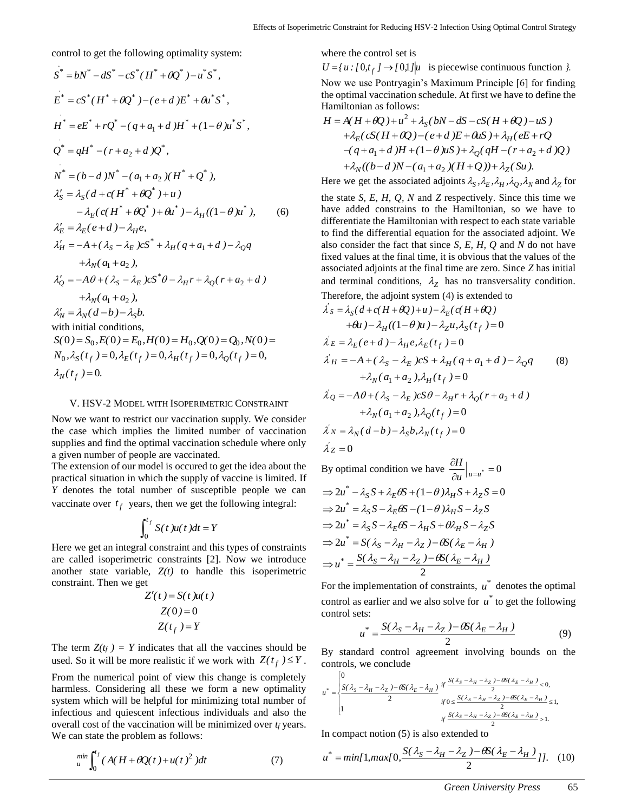control to get the following optimality system:

$$
S^* = bN^* - dS^* - cS^*(H^* + \theta Q^*) - u^*S^*,
$$
  
\n
$$
E^* = cS^*(H^* + \theta Q^*) - (e + d)E^* + \theta u^*S^*,
$$
  
\n
$$
H^* = eE^* + rQ^* - (q + a_1 + d)H^* + (1 - \theta)u^*S^*,
$$
  
\n
$$
Q^* = qH^* - (r + a_2 + d)Q^*,
$$
  
\n
$$
N^* = (b - d)N^* - (a_1 + a_2)(H^* + Q^*),
$$
  
\n
$$
\lambda_S' = \lambda_S(d + c(H^* + \theta Q^*) + u)
$$
  
\n
$$
-\lambda_E(c(H^* + \theta Q^*) + \theta u^*) - \lambda_H((1 - \theta)u^*),
$$
  
\n
$$
\lambda_E' = \lambda_E(e + d) - \lambda_H e,
$$
  
\n
$$
\lambda_H' = -A + (\lambda_S - \lambda_E)cS^* + \lambda_H(q + a_1 + d) - \lambda_Q q
$$
  
\n
$$
+\lambda_N(a_1 + a_2),
$$
  
\n
$$
\lambda_Q' = -A\theta + (\lambda_S - \lambda_E)cS^*\theta - \lambda_H r + \lambda_Q(r + a_2 + d)
$$
  
\n
$$
+\lambda_N(a_1 + a_2),
$$
  
\n
$$
\lambda_N' = \lambda_N(d - b) - \lambda_S b.
$$
  
\nwith initial conditions,  
\n
$$
S(0) = S_0, E(0) = E_0, H(0) = H_0, Q(0) = Q_0, N(0) =
$$
  
\n
$$
N_0, \lambda_S(t_f) = 0, \lambda_E(t_f) = 0, \lambda_H(t_f) = 0, \lambda_Q(t_f) = 0,
$$
  
\n
$$
\lambda_N(t_f) = 0.
$$

#### V. HSV-2 MODEL WITH ISOPERIMETRIC CONSTRAINT

Now we want to restrict our vaccination supply. We consider the case which implies the limited number of vaccination supplies and find the optimal vaccination schedule where only a given number of people are vaccinated.

The extension of our model is occured to get the idea about the practical situation in which the supply of vaccine is limited. If *Y* denotes the total number of susceptible people we can vaccinate over  $t_f$  years, then we get the following integral:

$$
\int_0^{t_f} S(t)u(t)dt = Y
$$

Here we get an integral constraint and this types of constraints are called isoperimetric constraints [2]. Now we introduce another state variable,  $Z(t)$  to handle this isoperimetric constraint. Then we get

$$
Z'(t) = S(t)u(t)
$$

$$
Z(0) = 0
$$

$$
Z(t_f) = Y
$$

The term  $Z(t_f) = Y$  indicates that all the vaccines should be used. So it will be more realistic if we work with  $Z(t_f) \leq Y$ .

From the numerical point of view this change is completely harmless. Considering all these we form a new optimality system which will be helpful for minimizing total number of infectious and quiescent infectious individuals and also the overall cost of the vaccination will be minimized over *t<sup>f</sup>* years. We can state the problem as follows:

$$
\lim_{u} \int_0^{t_f} (A(H + \theta Q(t) + u(t)^2) dt \tag{7}
$$

where the control set is

 $U = \{u : [0, t_f] \rightarrow [0, 1] | u$  is piecewise continuous function  $\}$ . Now we use Pontryagin's Maximum Principle [6] for finding the optimal vaccination schedule. At first we have to define the Hamiltonian as follows:

$$
H = A(H + \theta Q) + u^2 + \lambda_S (bN - dS - cS(H + \theta Q) - uS)
$$
  
+  $\lambda_E (cS(H + \theta Q) - (e + d)E + \theta uS) + \lambda_H (eE + rQ$   
-  $(q + a_1 + d)H + (1 - \theta)uS) + \lambda_Q (qH - (r + a_2 + d)Q)$   
+  $\lambda_N ((b - d)N - (a_1 + a_2)(H + Q)) + \lambda_Z (Su)$ .

Here we get the associated adjoints  $\lambda_S$ ,  $\lambda_E$ ,  $\lambda_H$ ,  $\lambda_Q$ ,  $\lambda_N$  and  $\lambda_Z$  for

the state *S, E, H, Q, N* and *Z* respectively. Since this time we have added constrains to the Hamiltonian, so we have to differentiate the Hamiltonian with respect to each state variable to find the differential equation for the associated adjoint. We also consider the fact that since *S, E, H, Q* and *N* do not have fixed values at the final time, it is obvious that the values of the associated adjoints at the final time are zero. Since *Z* has initial and terminal conditions,  $\lambda_Z$  has no transversality condition. Therefore, the adjoint system (4) is extended to

$$
\lambda'_{S} = \lambda_{S}(d + c(H + \theta Q) + u) - \lambda_{E}(c(H + \theta Q)
$$
  
\n
$$
+ \theta u) - \lambda_{H}((1 - \theta)u) - \lambda_{Z}u, \lambda_{S}(t_{f}) = 0
$$
  
\n
$$
\lambda'_{E} = \lambda_{E}(e + d) - \lambda_{H}e, \lambda_{E}(t_{f}) = 0
$$
  
\n
$$
\lambda'_{H} = -A + (\lambda_{S} - \lambda_{E})cS + \lambda_{H}(q + a_{1} + d) - \lambda_{Q}q
$$
  
\n
$$
+ \lambda_{N}(a_{1} + a_{2}), \lambda_{H}(t_{f}) = 0
$$
  
\n
$$
\lambda'_{Q} = -A\theta + (\lambda_{S} - \lambda_{E})cS\theta - \lambda_{H}r + \lambda_{Q}(r + a_{2} + d)
$$
  
\n
$$
+ \lambda_{N}(a_{1} + a_{2}), \lambda_{Q}(t_{f}) = 0
$$
  
\n
$$
\lambda'_{N} = \lambda_{N}(d - b) - \lambda_{S}b, \lambda_{N}(t_{f}) = 0
$$
  
\n
$$
\lambda'_{Z} = 0
$$

By optimal condition we have  $\frac{\partial H}{\partial u}\Big|_{u=u^*}=0$ д  $\overline{u}$ <sup> $\vert u=u^*$ </sup> *H*  $\Rightarrow$  2u<sup>\*</sup>  $-\lambda_S S + \lambda_E \theta S + (1-\theta) \lambda_H S + \lambda_Z S = 0$  $\Rightarrow$  2u<sup>\*</sup> =  $\lambda_S S - \lambda_E \theta S - (1 - \theta) \lambda_H S - \lambda_Z S$  $\Rightarrow$  2u<sup>\*</sup> =  $\lambda_S S - \lambda_E \theta S - \lambda_H S + \theta \lambda_H S - \lambda_Z S$  $\Rightarrow$  2u<sup>\*</sup> = S( $\lambda_S - \lambda_H - \lambda_Z$ ) –  $\theta S(\lambda_E - \lambda_H)$ 2  $\Rightarrow u^* = \frac{S(\lambda_S - \lambda_H - \lambda_Z) - \theta S(\lambda_E - \lambda_H)}{S(\lambda_S - \lambda_H)}$ 

For the implementation of constraints,  $u^*$  denotes the optimal control as earlier and we also solve for  $u^*$  to get the following control sets:

$$
u^* = \frac{S(\lambda_S - \lambda_H - \lambda_Z) - \theta S(\lambda_E - \lambda_H)}{2}
$$
 (9)

By standard control agreement involving bounds on the controls, we conclude

$$
u^* = \begin{cases} 0 & \text{if } \frac{S(\lambda_S - \lambda_H - \lambda_Z) - \theta S(\lambda_E - \lambda_H)}{2} & \text{if } \frac{S(\lambda_S - \lambda_H - \lambda_Z) - \theta S(\lambda_E - \lambda_H)}{2} < 0, \\ 1 & \text{if } \frac{S(\lambda_S - \lambda_H - \lambda_Z) - \theta S(\lambda_E - \lambda_H)}{2} \le 1 \\ & \text{if } \frac{S(\lambda_S - \lambda_H - \lambda_Z) - \theta S(\lambda_E - \lambda_H)}{2} > 1. \end{cases}
$$

In compact notion (5) is also extended to

$$
u^* = min[1, max[0, \frac{S(\lambda_S - \lambda_H - \lambda_Z) - \theta S(\lambda_E - \lambda_H)}{2}]], \quad (10)
$$

*,*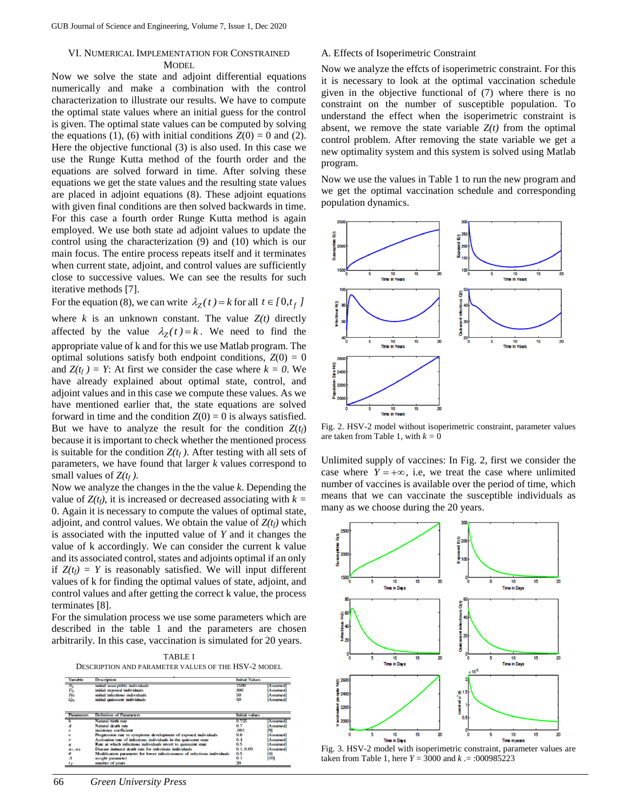## VI. NUMERICAL IMPLEMENTATION FOR CONSTRAINED **MODEL**

Now we solve the state and adjoint differential equations numerically and make a combination with the control characterization to illustrate our results. We have to compute the optimal state values where an initial guess for the control is given. The optimal state values can be computed by solving the equations (1), (6) with initial conditions  $Z(0) = 0$  and (2). Here the objective functional (3) is also used. In this case we use the Runge Kutta method of the fourth order and the equations are solved forward in time. After solving these equations we get the state values and the resulting state values are placed in adjoint equations (8). These adjoint equations with given final conditions are then solved backwards in time. For this case a fourth order Runge Kutta method is again employed. We use both state ad adjoint values to update the control using the characterization (9) and (10) which is our main focus. The entire process repeats itself and it terminates when current state, adjoint, and control values are sufficiently close to successive values. We can see the results for such iterative methods [7].

For the equation (8), we can write  $\lambda_Z(t) = k$  for all  $t \in [0, t_f]$ 

where  $k$  is an unknown constant. The value  $Z(t)$  directly affected by the value  $\lambda_Z(t) = k$ . We need to find the appropriate value of k and for this we use Matlab program. The optimal solutions satisfy both endpoint conditions,  $Z(0) = 0$ and  $Z(t_f) = Y$ : At first we consider the case where  $k = 0$ . We have already explained about optimal state, control, and adjoint values and in this case we compute these values. As we have mentioned earlier that, the state equations are solved forward in time and the condition  $Z(0) = 0$  is always satisfied. But we have to analyze the result for the condition  $Z(t_f)$ because it is important to check whether the mentioned process is suitable for the condition  $Z(t_f)$ . After testing with all sets of parameters, we have found that larger *k* values correspond to small values of  $Z(t_f)$ .

Now we analyze the changes in the the value *k*. Depending the value of  $Z(t_f)$ , it is increased or decreased associating with  $k =$ 0. Again it is necessary to compute the values of optimal state, adjoint, and control values. We obtain the value of  $Z(t_f)$  which is associated with the inputted value of *Y* and it changes the value of k accordingly. We can consider the current k value and its associated control, states and adjoints optimal if an only if  $Z(t_f) = Y$  is reasonably satisfied. We will input different values of k for finding the optimal values of state, adjoint, and control values and after getting the correct k value, the process terminates [8].

For the simulation process we use some parameters which are described in the table 1 and the parameters are chosen arbitrarily. In this case, vaccination is simulated for 20 years.

TABLE I DESCRIPTION AND PARAMETER VALUES OF THE HSV-2 MODEL



## A. Effects of Isoperimetric Constraint

Now we analyze the effcts of isoperimetric constraint. For this it is necessary to look at the optimal vaccination schedule given in the objective functional of (7) where there is no constraint on the number of susceptible population. To understand the effect when the isoperimetric constraint is absent, we remove the state variable  $Z(t)$  from the optimal control problem. After removing the state variable we get a new optimality system and this system is solved using Matlab program.

Now we use the values in Table 1 to run the new program and we get the optimal vaccination schedule and corresponding population dynamics.



Fig. 2. HSV-2 model without isoperimetric constraint, parameter values are taken from Table 1, with  $k = 0$ 

Unlimited supply of vaccines: In Fig. 2, first we consider the case where  $Y = +\infty$ , i.e, we treat the case where unlimited number of vaccines is available over the period of time, which means that we can vaccinate the susceptible individuals as many as we choose during the 20 years.



Fig. 3. HSV-2 model with isoperimetric constraint, parameter values are taken from Table 1, here *Y* = 3000 and *k .*= :000985223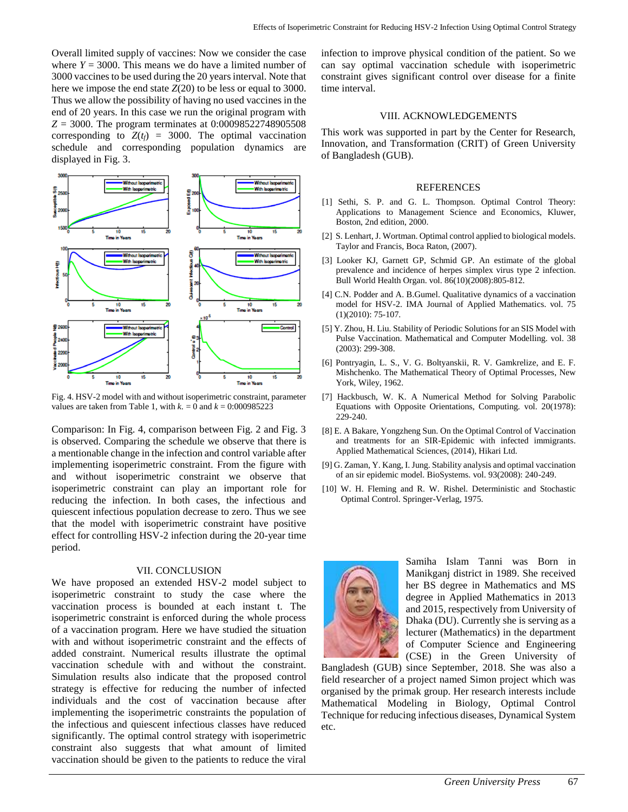Overall limited supply of vaccines: Now we consider the case where  $Y = 3000$ . This means we do have a limited number of 3000 vaccines to be used during the 20 years interval. Note that here we impose the end state *Z*(20) to be less or equal to 3000. Thus we allow the possibility of having no used vaccines in the end of 20 years. In this case we run the original program with *Z* = 3000. The program terminates at 0:00098522748905508 corresponding to  $Z(t_f) = 3000$ . The optimal vaccination schedule and corresponding population dynamics are displayed in Fig. 3.



Fig. 4. HSV-2 model with and without isoperimetric constraint, parameter values are taken from Table 1, with  $k = 0$  and  $k = 0:000985223$ 

Comparison: In Fig. 4, comparison between Fig. 2 and Fig. 3 is observed. Comparing the schedule we observe that there is a mentionable change in the infection and control variable after implementing isoperimetric constraint. From the figure with and without isoperimetric constraint we observe that isoperimetric constraint can play an important role for reducing the infection. In both cases, the infectious and quiescent infectious population decrease to zero. Thus we see that the model with isoperimetric constraint have positive effect for controlling HSV-2 infection during the 20-year time period.

## VII. CONCLUSION

We have proposed an extended HSV-2 model subject to isoperimetric constraint to study the case where the vaccination process is bounded at each instant t. The isoperimetric constraint is enforced during the whole process of a vaccination program. Here we have studied the situation with and without isoperimetric constraint and the effects of added constraint. Numerical results illustrate the optimal vaccination schedule with and without the constraint. Simulation results also indicate that the proposed control strategy is effective for reducing the number of infected individuals and the cost of vaccination because after implementing the isoperimetric constraints the population of the infectious and quiescent infectious classes have reduced significantly. The optimal control strategy with isoperimetric constraint also suggests that what amount of limited vaccination should be given to the patients to reduce the viral

infection to improve physical condition of the patient. So we can say optimal vaccination schedule with isoperimetric constraint gives significant control over disease for a finite time interval.

## VIII. ACKNOWLEDGEMENTS

This work was supported in part by the Center for Research, Innovation, and Transformation (CRIT) of Green University of Bangladesh (GUB).

## **REFERENCES**

- [1] Sethi, S. P. and G. L. Thompson. Optimal Control Theory: Applications to Management Science and Economics, Kluwer, Boston, 2nd edition, 2000.
- [2] S. Lenhart, J. Wortman. Optimal control applied to biological models. Taylor and Francis, Boca Raton, (2007).
- [3] Looker KJ, Garnett GP, Schmid GP. An estimate of the global prevalence and incidence of herpes simplex virus type 2 infection. Bull World Health Organ. vol. 86(10)(2008):805-812.
- [4] C.N. Podder and A. B.Gumel. Qualitative dynamics of a vaccination model for HSV-2. IMA Journal of Applied Mathematics. vol. 75 (1)(2010): 75-107.
- [5] Y. Zhou, H. Liu. Stability of Periodic Solutions for an SIS Model with Pulse Vaccination. Mathematical and Computer Modelling. vol. 38 (2003): 299-308.
- [6] Pontryagin, L. S., V. G. Boltyanskii, R. V. Gamkrelize, and E. F. Mishchenko. The Mathematical Theory of Optimal Processes, New York, Wiley, 1962.
- [7] Hackbusch, W. K. A Numerical Method for Solving Parabolic Equations with Opposite Orientations, Computing. vol. 20(1978): 229-240.
- [8] E. A Bakare, Yongzheng Sun. On the Optimal Control of Vaccination and treatments for an SIR-Epidemic with infected immigrants. Applied Mathematical Sciences, (2014), Hikari Ltd.
- [9] G. Zaman, Y. Kang, I. Jung. Stability analysis and optimal vaccination of an sir epidemic model. BioSystems. vol. 93(2008): 240-249.
- [10] W. H. Fleming and R. W. Rishel. Deterministic and Stochastic Optimal Control. Springer-Verlag, 1975.



Samiha Islam Tanni was Born in Manikganj district in 1989. She received her BS degree in Mathematics and MS degree in Applied Mathematics in 2013 and 2015, respectively from University of Dhaka (DU). Currently she is serving as a lecturer (Mathematics) in the department of Computer Science and Engineering (CSE) in the Green University of

Bangladesh (GUB) since September, 2018. She was also a field researcher of a project named Simon project which was organised by the primak group. Her research interests include Mathematical Modeling in Biology, Optimal Control Technique for reducing infectious diseases, Dynamical System etc.